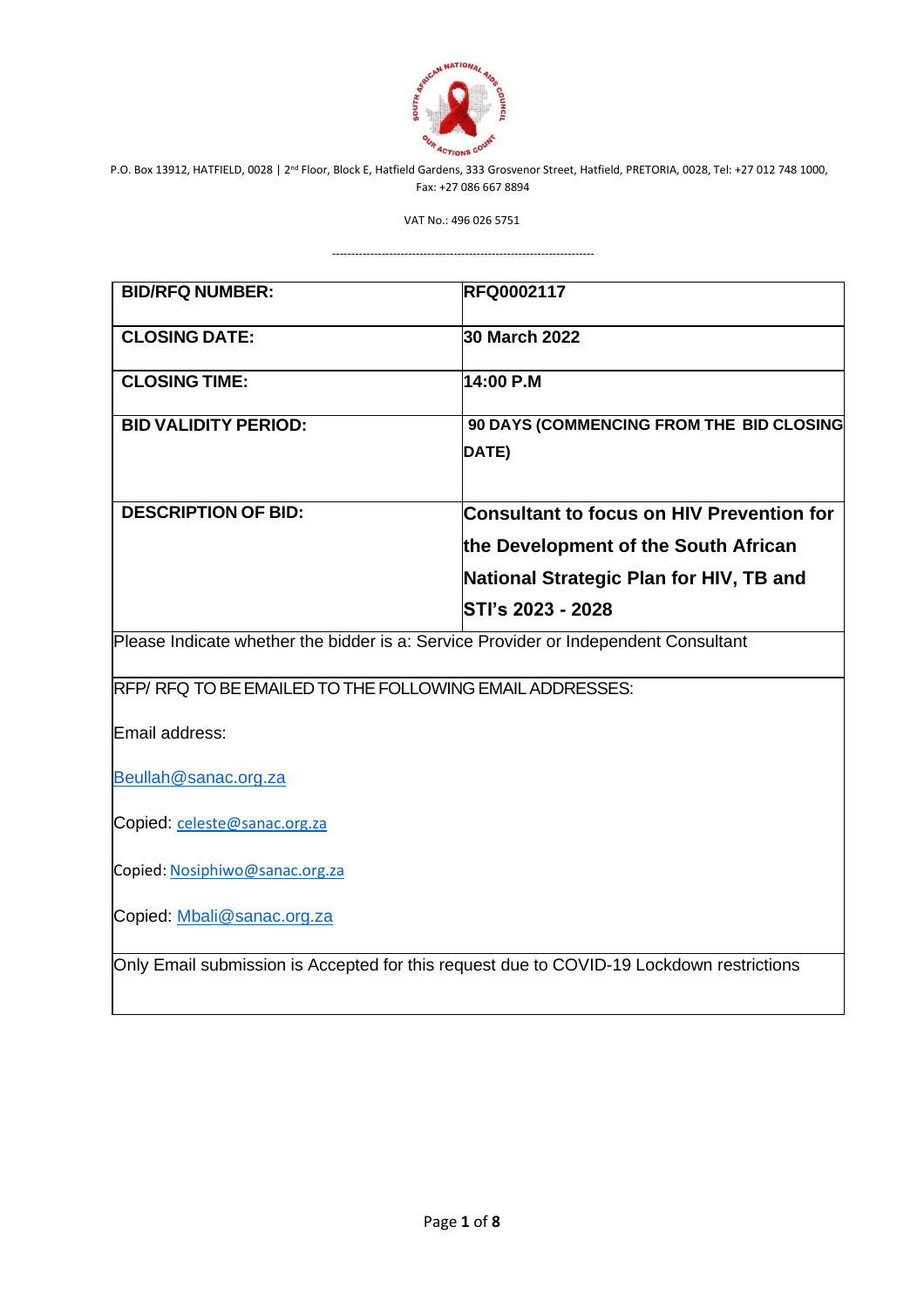

VAT No.: 496 026 5751

---------------------------------------------------------------------

**BID/RFQ NUMBER: RFQ0002117 CLOSING DATE: 30 March 2022 CLOSING TIME: 14:00 P.M BID VALIDITY PERIOD: 90 DAYS (COMMENCING FROM THE BID CLOSING DATE) DESCRIPTION OF BID: Consultant to focus on HIV Prevention for the Development of the South African National Strategic Plan for HIV, TB and STI's 2023 - 2028** Please Indicate whether the bidder is a: Service Provider or Independent Consultant RFP/ RFQ TO BE EMAILED TO THE FOLLOWING EMAIL ADDRESSES: Email address: [Beullah@sanac.org.za](mailto:Beullah@sanac.org.za) Copied: [celeste@sanac.org.za](mailto:celeste@sanac.org.za) Copied: [Nosiphiwo@sanac.org.za](mailto:Nosiphiwo@sanac.org.za) Copied: [Mbali@sanac.org.za](mailto:Mbali@sanac.org.za) Only Email submission is Accepted for this request due to COVID-19 Lockdown restrictions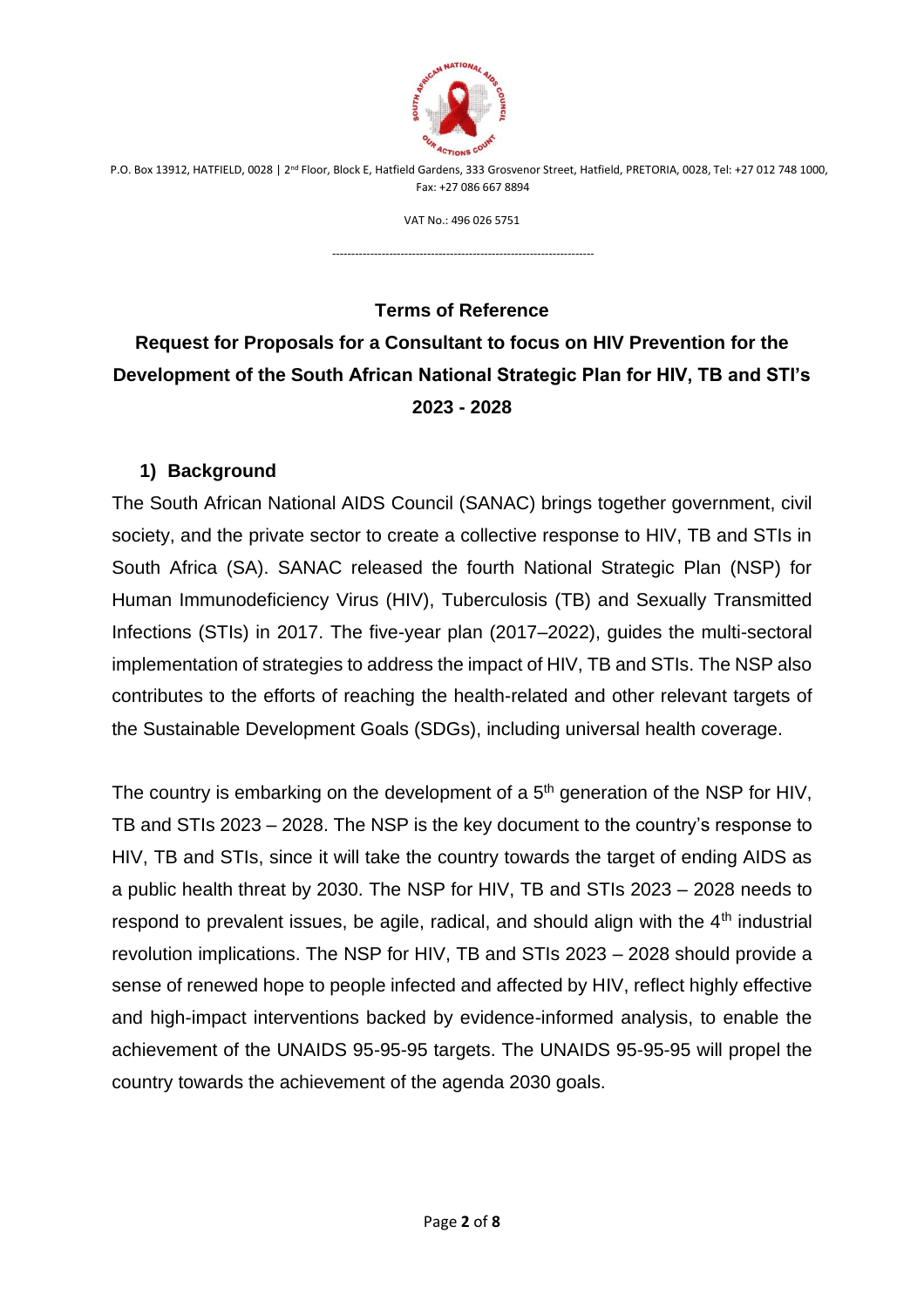

VAT No.: 496 026 5751

---------------------------------------------------------------------

## **Terms of Reference**

# **Request for Proposals for a Consultant to focus on HIV Prevention for the Development of the South African National Strategic Plan for HIV, TB and STI's 2023 - 2028**

#### **1) Background**

The South African National AIDS Council (SANAC) brings together government, civil society, and the private sector to create a collective response to HIV, TB and STIs in South Africa (SA). SANAC released the fourth National Strategic Plan (NSP) for Human Immunodeficiency Virus (HIV), Tuberculosis (TB) and Sexually Transmitted Infections (STIs) in 2017. The five-year plan (2017–2022), guides the multi-sectoral implementation of strategies to address the impact of HIV, TB and STIs. The NSP also contributes to the efforts of reaching the health-related and other relevant targets of the Sustainable Development Goals (SDGs), including universal health coverage.

The country is embarking on the development of a  $5<sup>th</sup>$  generation of the NSP for HIV, TB and STIs 2023 – 2028. The NSP is the key document to the country's response to HIV, TB and STIs, since it will take the country towards the target of ending AIDS as a public health threat by 2030. The NSP for HIV, TB and STIs 2023 – 2028 needs to respond to prevalent issues, be agile, radical, and should align with the 4<sup>th</sup> industrial revolution implications. The NSP for HIV, TB and STIs 2023 – 2028 should provide a sense of renewed hope to people infected and affected by HIV, reflect highly effective and high-impact interventions backed by evidence-informed analysis, to enable the achievement of the UNAIDS 95-95-95 targets. The UNAIDS 95-95-95 will propel the country towards the achievement of the agenda 2030 goals.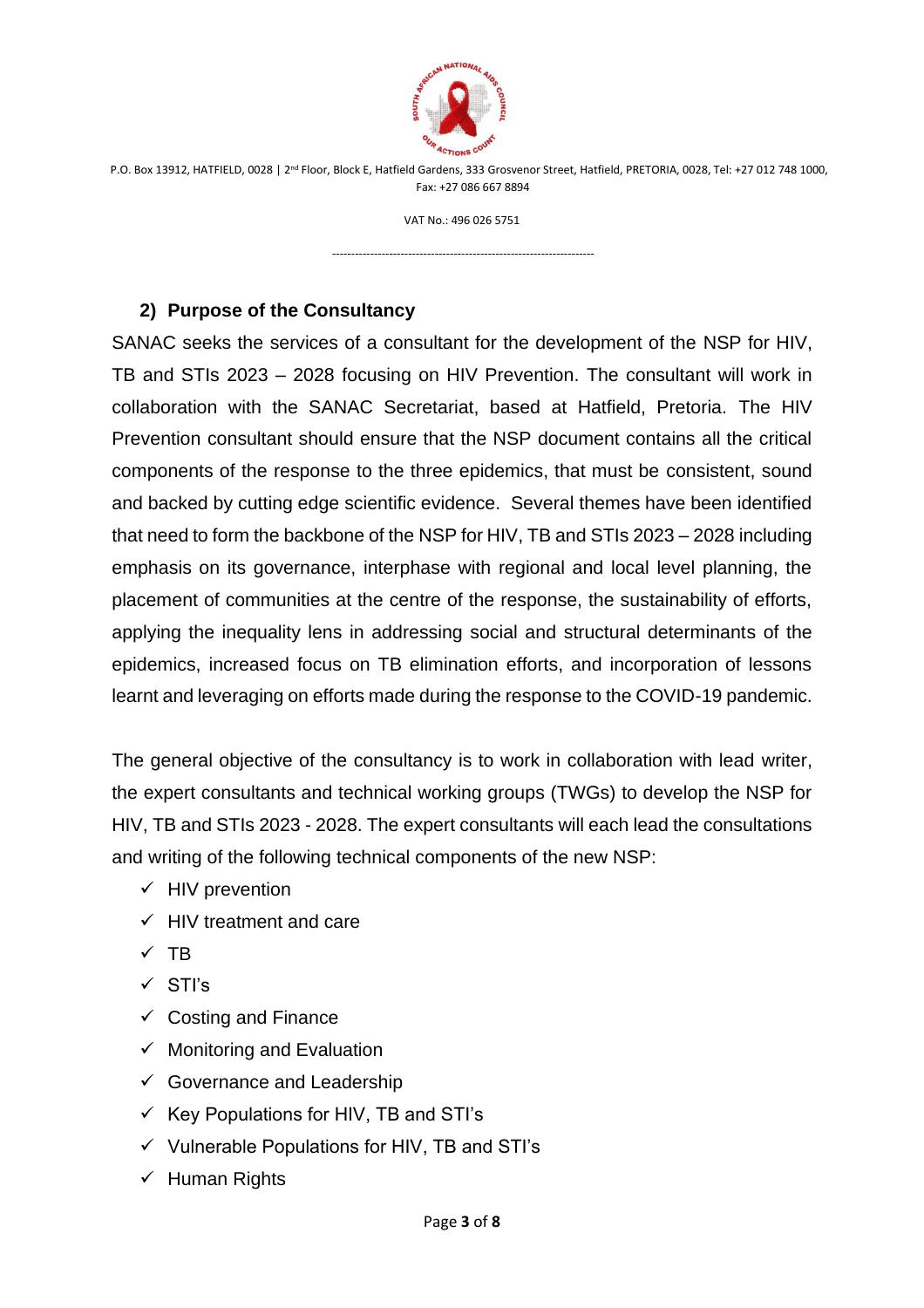

VAT No.: 496 026 5751

---------------------------------------------------------------------

#### **2) Purpose of the Consultancy**

SANAC seeks the services of a consultant for the development of the NSP for HIV, TB and STIs 2023 – 2028 focusing on HIV Prevention. The consultant will work in collaboration with the SANAC Secretariat, based at Hatfield, Pretoria. The HIV Prevention consultant should ensure that the NSP document contains all the critical components of the response to the three epidemics, that must be consistent, sound and backed by cutting edge scientific evidence. Several themes have been identified that need to form the backbone of the NSP for HIV, TB and STIs 2023 – 2028 including emphasis on its governance, interphase with regional and local level planning, the placement of communities at the centre of the response, the sustainability of efforts, applying the inequality lens in addressing social and structural determinants of the epidemics, increased focus on TB elimination efforts, and incorporation of lessons learnt and leveraging on efforts made during the response to the COVID-19 pandemic.

The general objective of the consultancy is to work in collaboration with lead writer, the expert consultants and technical working groups (TWGs) to develop the NSP for HIV, TB and STIs 2023 - 2028. The expert consultants will each lead the consultations and writing of the following technical components of the new NSP:

- $\checkmark$  HIV prevention
- $\checkmark$  HIV treatment and care
- ✓ TB
- ✓ STI's
- $\checkmark$  Costing and Finance
- $\checkmark$  Monitoring and Evaluation
- $\checkmark$  Governance and Leadership
- $\checkmark$  Key Populations for HIV, TB and STI's
- ✓ Vulnerable Populations for HIV, TB and STI's
- ✓ Human Rights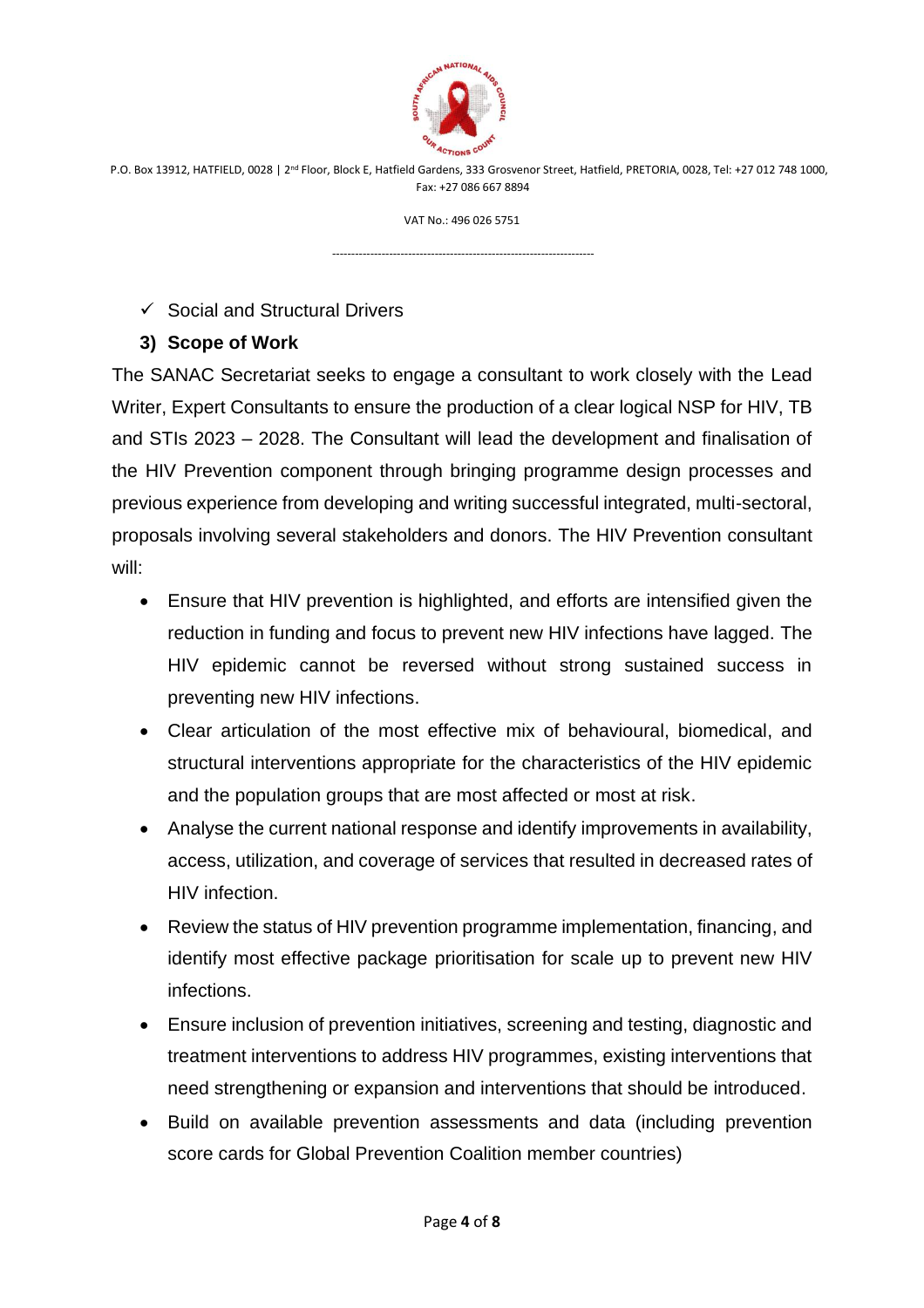

VAT No.: 496 026 5751

---------------------------------------------------------------------

#### $\checkmark$  Social and Structural Drivers

#### **3) Scope of Work**

The SANAC Secretariat seeks to engage a consultant to work closely with the Lead Writer, Expert Consultants to ensure the production of a clear logical NSP for HIV, TB and STIs 2023 – 2028. The Consultant will lead the development and finalisation of the HIV Prevention component through bringing programme design processes and previous experience from developing and writing successful integrated, multi-sectoral, proposals involving several stakeholders and donors. The HIV Prevention consultant will:

- Ensure that HIV prevention is highlighted, and efforts are intensified given the reduction in funding and focus to prevent new HIV infections have lagged. The HIV epidemic cannot be reversed without strong sustained success in preventing new HIV infections.
- Clear articulation of the most effective mix of behavioural, biomedical, and structural interventions appropriate for the characteristics of the HIV epidemic and the population groups that are most affected or most at risk.
- Analyse the current national response and identify improvements in availability, access, utilization, and coverage of services that resulted in decreased rates of HIV infection.
- Review the status of HIV prevention programme implementation, financing, and identify most effective package prioritisation for scale up to prevent new HIV infections.
- Ensure inclusion of prevention initiatives, screening and testing, diagnostic and treatment interventions to address HIV programmes, existing interventions that need strengthening or expansion and interventions that should be introduced.
- Build on available prevention assessments and data (including prevention score cards for Global Prevention Coalition member countries)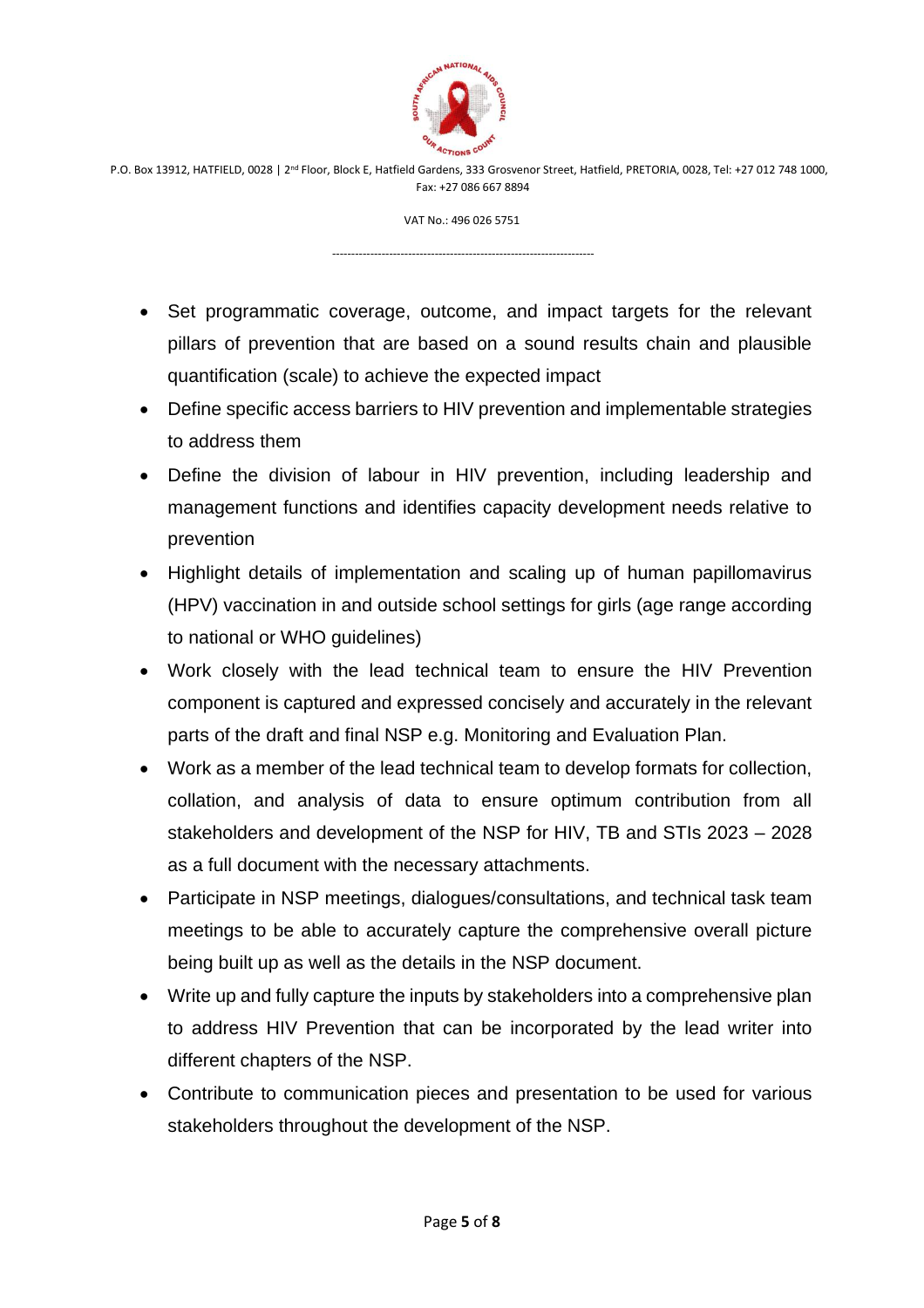

VAT No.: 496 026 5751

---------------------------------------------------------------------

- Set programmatic coverage, outcome, and impact targets for the relevant pillars of prevention that are based on a sound results chain and plausible quantification (scale) to achieve the expected impact
- Define specific access barriers to HIV prevention and implementable strategies to address them
- Define the division of labour in HIV prevention, including leadership and management functions and identifies capacity development needs relative to prevention
- Highlight details of implementation and scaling up of human papillomavirus (HPV) vaccination in and outside school settings for girls (age range according to national or WHO guidelines)
- Work closely with the lead technical team to ensure the HIV Prevention component is captured and expressed concisely and accurately in the relevant parts of the draft and final NSP e.g. Monitoring and Evaluation Plan.
- Work as a member of the lead technical team to develop formats for collection, collation, and analysis of data to ensure optimum contribution from all stakeholders and development of the NSP for HIV, TB and STIs 2023 – 2028 as a full document with the necessary attachments.
- Participate in NSP meetings, dialogues/consultations, and technical task team meetings to be able to accurately capture the comprehensive overall picture being built up as well as the details in the NSP document.
- Write up and fully capture the inputs by stakeholders into a comprehensive plan to address HIV Prevention that can be incorporated by the lead writer into different chapters of the NSP.
- Contribute to communication pieces and presentation to be used for various stakeholders throughout the development of the NSP.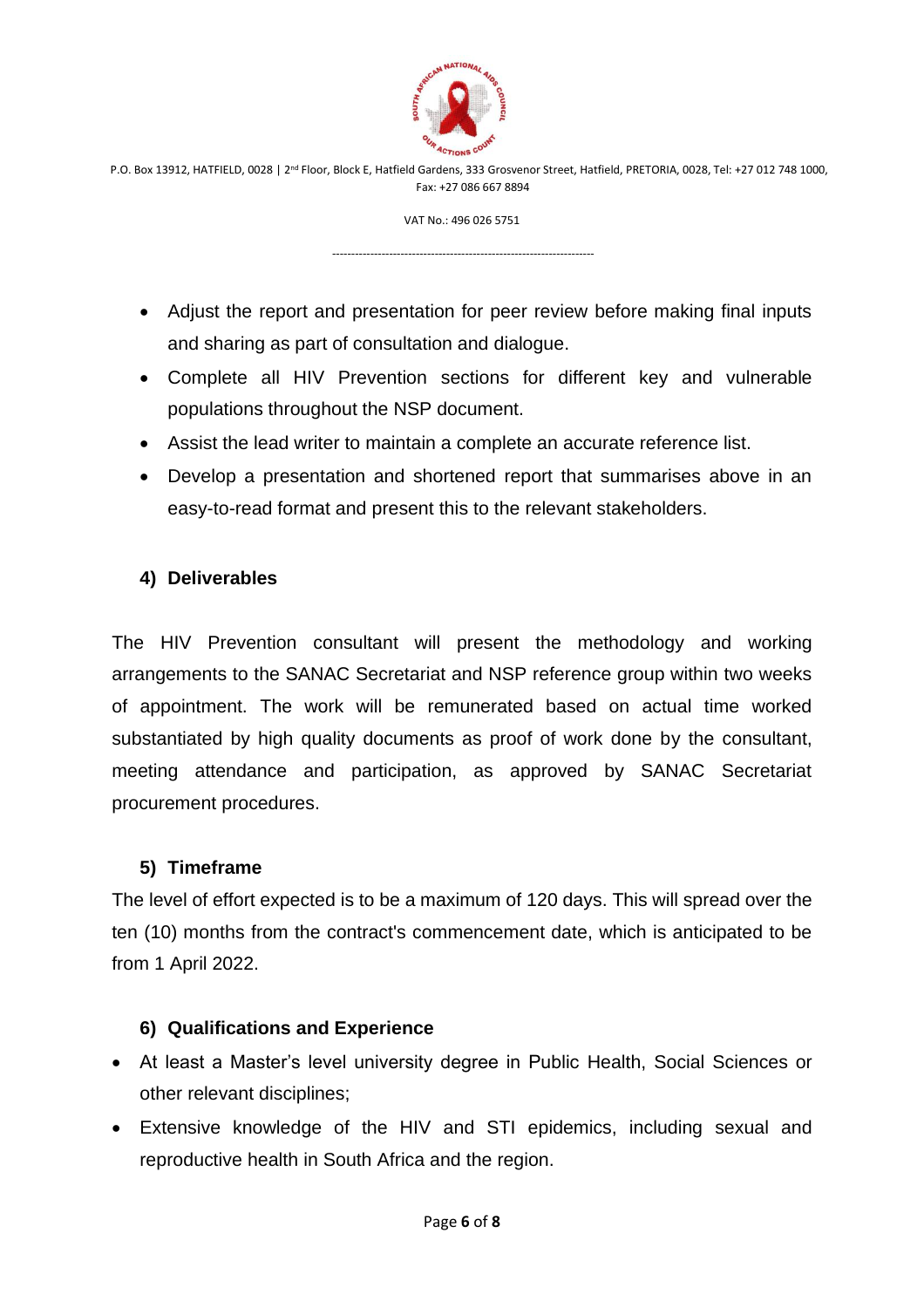

VAT No.: 496 026 5751

---------------------------------------------------------------------

- Adjust the report and presentation for peer review before making final inputs and sharing as part of consultation and dialogue.
- Complete all HIV Prevention sections for different key and vulnerable populations throughout the NSP document.
- Assist the lead writer to maintain a complete an accurate reference list.
- Develop a presentation and shortened report that summarises above in an easy-to-read format and present this to the relevant stakeholders.

## **4) Deliverables**

The HIV Prevention consultant will present the methodology and working arrangements to the SANAC Secretariat and NSP reference group within two weeks of appointment. The work will be remunerated based on actual time worked substantiated by high quality documents as proof of work done by the consultant, meeting attendance and participation, as approved by SANAC Secretariat procurement procedures.

#### **5) Timeframe**

The level of effort expected is to be a maximum of 120 days. This will spread over the ten (10) months from the contract's commencement date, which is anticipated to be from 1 April 2022.

## **6) Qualifications and Experience**

- At least a Master's level university degree in Public Health, Social Sciences or other relevant disciplines;
- Extensive knowledge of the HIV and STI epidemics, including sexual and reproductive health in South Africa and the region.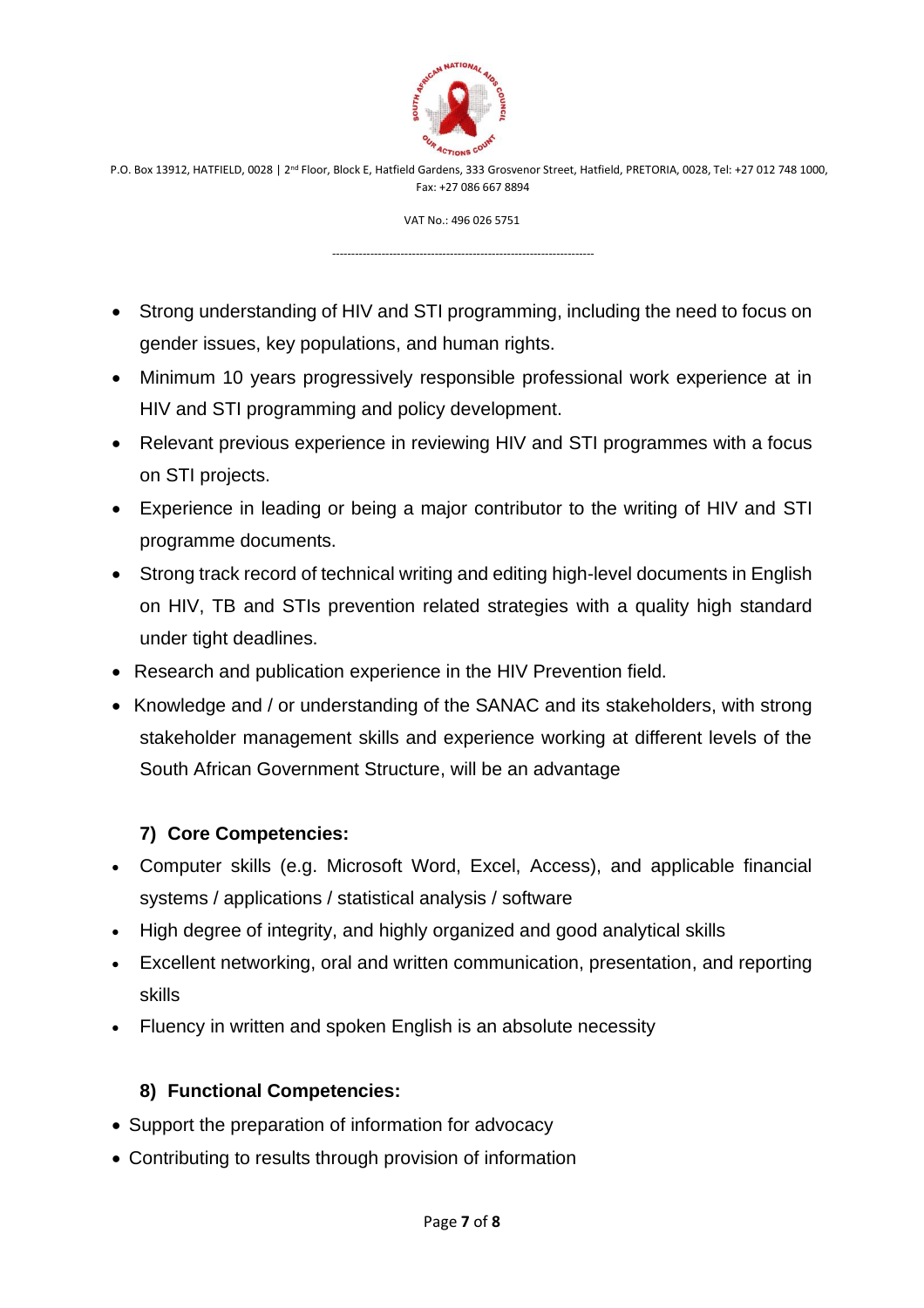

VAT No.: 496 026 5751

---------------------------------------------------------------------

- Strong understanding of HIV and STI programming, including the need to focus on gender issues, key populations, and human rights.
- Minimum 10 years progressively responsible professional work experience at in HIV and STI programming and policy development.
- Relevant previous experience in reviewing HIV and STI programmes with a focus on STI projects.
- Experience in leading or being a major contributor to the writing of HIV and STI programme documents.
- Strong track record of technical writing and editing high-level documents in English on HIV, TB and STIs prevention related strategies with a quality high standard under tight deadlines.
- Research and publication experience in the HIV Prevention field.
- Knowledge and / or understanding of the SANAC and its stakeholders, with strong stakeholder management skills and experience working at different levels of the South African Government Structure, will be an advantage

# **7) Core Competencies:**

- Computer skills (e.g. Microsoft Word, Excel, Access), and applicable financial systems / applications / statistical analysis / software
- High degree of integrity, and highly organized and good analytical skills
- Excellent networking, oral and written communication, presentation, and reporting skills
- Fluency in written and spoken English is an absolute necessity

# **8) Functional Competencies:**

- Support the preparation of information for advocacy
- Contributing to results through provision of information